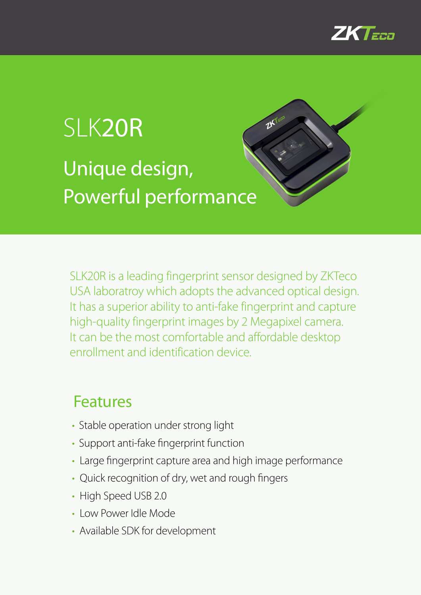

## SLK20R Unique design, Powerful performance

SLK20R is a leading fingerprint sensor designed by ZKTeco USA laboratroy which adopts the advanced optical design. It has a superior ability to anti-fake fingerprint and capture high-quality fingerprint images by 2 Megapixel camera. It can be the most comfortable and affordable desktop enrollment and identification device.

25

## Features

- Stable operation under strong light
- Support anti-fake fingerprint function
- Large fingerprint capture area and high image performance
- Quick recognition of dry, wet and rough fingers
- High Speed USB 2.0
- Low Power Idle Mode
- Available SDK for development